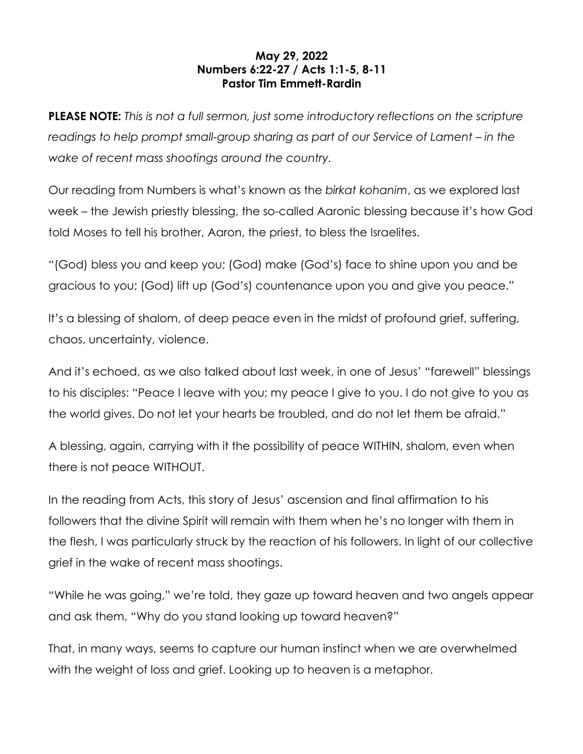## **May 29, 2022 Numbers 6:22-27 / Acts 1:1-5, 8-11 Pastor Tim Emmett-Rardin**

**PLEASE NOTE:** *This is not a full sermon, just some introductory reflections on the scripture readings to help prompt small-group sharing as part of our Service of Lament – in the wake of recent mass shootings around the country.*

Our reading from Numbers is what's known as the *birkat kohanim*, as we explored last week – the Jewish priestly blessing, the so-called Aaronic blessing because it's how God told Moses to tell his brother, Aaron, the priest, to bless the Israelites.

"(God) bless you and keep you; (God) make (God's) face to shine upon you and be gracious to you; (God) lift up (God's) countenance upon you and give you peace."

It's a blessing of shalom, of deep peace even in the midst of profound grief, suffering, chaos, uncertainty, violence.

And it's echoed, as we also talked about last week, in one of Jesus' "farewell" blessings to his disciples: "Peace I leave with you; my peace I give to you. I do not give to you as the world gives. Do not let your hearts be troubled, and do not let them be afraid."

A blessing, again, carrying with it the possibility of peace WITHIN, shalom, even when there is not peace WITHOUT.

In the reading from Acts, this story of Jesus' ascension and final affirmation to his followers that the divine Spirit will remain with them when he's no longer with them in the flesh, I was particularly struck by the reaction of his followers. In light of our collective grief in the wake of recent mass shootings.

"While he was going," we're told, they gaze up toward heaven and two angels appear and ask them, "Why do you stand looking up toward heaven?"

That, in many ways, seems to capture our human instinct when we are overwhelmed with the weight of loss and grief. Looking up to heaven is a metaphor.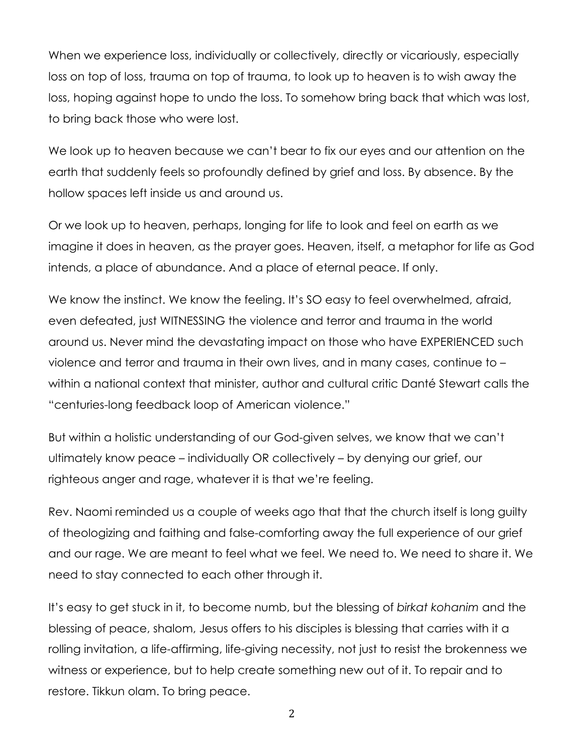When we experience loss, individually or collectively, directly or vicariously, especially loss on top of loss, trauma on top of trauma, to look up to heaven is to wish away the loss, hoping against hope to undo the loss. To somehow bring back that which was lost, to bring back those who were lost.

We look up to heaven because we can't bear to fix our eyes and our attention on the earth that suddenly feels so profoundly defined by grief and loss. By absence. By the hollow spaces left inside us and around us.

Or we look up to heaven, perhaps, longing for life to look and feel on earth as we imagine it does in heaven, as the prayer goes. Heaven, itself, a metaphor for life as God intends, a place of abundance. And a place of eternal peace. If only.

We know the instinct. We know the feeling. It's SO easy to feel overwhelmed, afraid, even defeated, just WITNESSING the violence and terror and trauma in the world around us. Never mind the devastating impact on those who have EXPERIENCED such violence and terror and trauma in their own lives, and in many cases, continue to – within a national context that minister, author and cultural critic Danté Stewart calls the "centuries-long feedback loop of American violence."

But within a holistic understanding of our God-given selves, we know that we can't ultimately know peace – individually OR collectively – by denying our grief, our righteous anger and rage, whatever it is that we're feeling.

Rev. Naomi reminded us a couple of weeks ago that that the church itself is long guilty of theologizing and faithing and false-comforting away the full experience of our grief and our rage. We are meant to feel what we feel. We need to. We need to share it. We need to stay connected to each other through it.

It's easy to get stuck in it, to become numb, but the blessing of *birkat kohanim* and the blessing of peace, shalom, Jesus offers to his disciples is blessing that carries with it a rolling invitation, a life-affirming, life-giving necessity, not just to resist the brokenness we witness or experience, but to help create something new out of it. To repair and to restore. Tikkun olam. To bring peace.